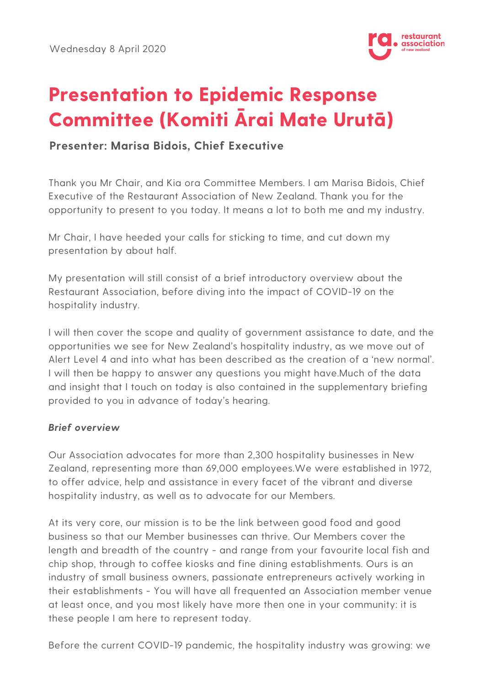

# **Presentation to Epidemic Response Committee (Komiti Ārai Mate Urutā)**

## **Presenter: Marisa Bidois, Chief Executive**

Thank you Mr Chair, and Kia ora Committee Members. I am Marisa Bidois, Chief Executive of the Restaurant Association of New Zealand. Thank you for the opportunity to present to you today. It means a lot to both me and my industry.

Mr Chair, I have heeded your calls for sticking to time, and cut down my presentation by about half.

My presentation will still consist of a brief introductory overview about the Restaurant Association, before diving into the impact of COVID-19 on the hospitality industry.

I will then cover the scope and quality of government assistance to date, and the opportunities we see for New Zealand's hospitality industry, as we move out of Alert Level 4 and into what has been described as the creation of a 'new normal'. I will then be happy to answer any questions you might have.Much of the data and insight that I touch on today is also contained in the supplementary briefing provided to you in advance of today's hearing.

## **Brief overview**

Our Association advocates for more than 2,300 hospitality businesses in New Zealand, representing more than 69,000 employees.We were established in 1972, to offer advice, help and assistance in every facet of the vibrant and diverse hospitality industry, as well as to advocate for our Members.

At its very core, our mission is to be the link between good food and good business so that our Member businesses can thrive. Our Members cover the length and breadth of the country - and range from your favourite local fish and chip shop, through to coffee kiosks and fine dining establishments. Ours is an industry of small business owners, passionate entrepreneurs actively working in their establishments - You will have all frequented an Association member venue at least once, and you most likely have more then one in your community: it is these people I am here to represent today.

Before the current COVID-19 pandemic, the hospitality industry was growing: we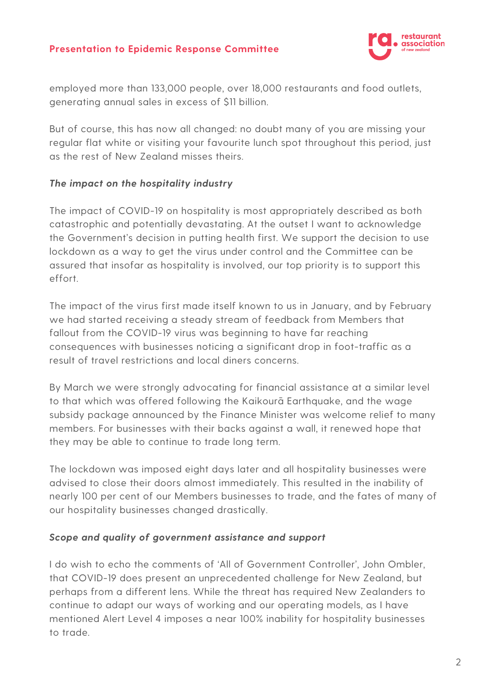

employed more than 133,000 people, over 18,000 restaurants and food outlets, generating annual sales in excess of \$11 billion.

But of course, this has now all changed: no doubt many of you are missing your regular flat white or visiting your favourite lunch spot throughout this period, just as the rest of New Zealand misses theirs.

#### **The impact on the hospitality industry**

The impact of COVID-19 on hospitality is most appropriately described as both catastrophic and potentially devastating. At the outset I want to acknowledge the Government's decision in putting health first. We support the decision to use lockdown as a way to get the virus under control and the Committee can be assured that insofar as hospitality is involved, our top priority is to support this effort.

The impact of the virus first made itself known to us in January, and by February we had started receiving a steady stream of feedback from Members that fallout from the COVID-19 virus was beginning to have far reaching consequences with businesses noticing a significant drop in foot-traffic as a result of travel restrictions and local diners concerns.

By March we were strongly advocating for financial assistance at a similar level to that which was offered following the Kaikourā Earthquake, and the wage subsidy package announced by the Finance Minister was welcome relief to many members. For businesses with their backs against a wall, it renewed hope that they may be able to continue to trade long term.

The lockdown was imposed eight days later and all hospitality businesses were advised to close their doors almost immediately. This resulted in the inability of nearly 100 per cent of our Members businesses to trade, and the fates of many of our hospitality businesses changed drastically.

#### **Scope and quality of government assistance and support**

I do wish to echo the comments of 'All of Government Controller', John Ombler, that COVID-19 does present an unprecedented challenge for New Zealand, but perhaps from a different lens. While the threat has required New Zealanders to continue to adapt our ways of working and our operating models, as I have mentioned Alert Level 4 imposes a near 100% inability for hospitality businesses to trade.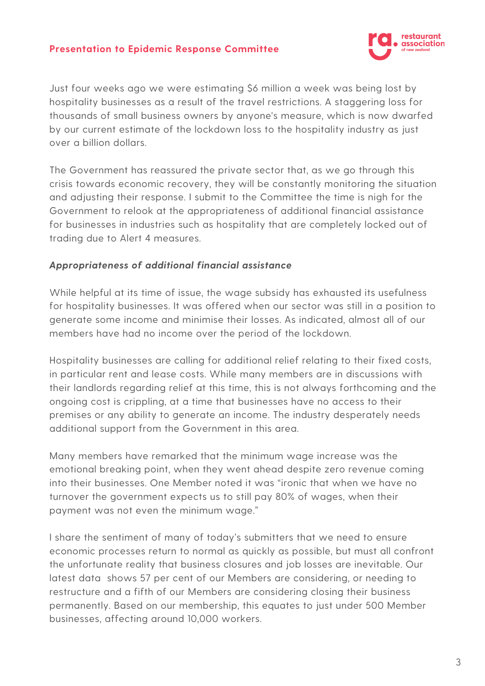

Just four weeks ago we were estimating \$6 million a week was being lost by hospitality businesses as a result of the travel restrictions. A staggering loss for thousands of small business owners by anyone's measure, which is now dwarfed by our current estimate of the lockdown loss to the hospitality industry as just over a billion dollars.

The Government has reassured the private sector that, as we go through this crisis towards economic recovery, they will be constantly monitoring the situation and adjusting their response. I submit to the Committee the time is nigh for the Government to relook at the appropriateness of additional financial assistance for businesses in industries such as hospitality that are completely locked out of trading due to Alert 4 measures.

#### **Appropriateness of additional financial assistance**

While helpful at its time of issue, the wage subsidy has exhausted its usefulness for hospitality businesses. It was offered when our sector was still in a position to generate some income and minimise their losses. As indicated, almost all of our members have had no income over the period of the lockdown.

Hospitality businesses are calling for additional relief relating to their fixed costs, in particular rent and lease costs. While many members are in discussions with their landlords regarding relief at this time, this is not always forthcoming and the ongoing cost is crippling, at a time that businesses have no access to their premises or any ability to generate an income. The industry desperately needs additional support from the Government in this area.

Many members have remarked that the minimum wage increase was the emotional breaking point, when they went ahead despite zero revenue coming into their businesses. One Member noted it was "ironic that when we have no turnover the government expects us to still pay 80% of wages, when their payment was not even the minimum wage."

I share the sentiment of many of today's submitters that we need to ensure economic processes return to normal as quickly as possible, but must all confront the unfortunate reality that business closures and job losses are inevitable. Our latest data shows 57 per cent of our Members are considering, or needing to restructure and a fifth of our Members are considering closing their business permanently. Based on our membership, this equates to just under 500 Member businesses, affecting around 10,000 workers.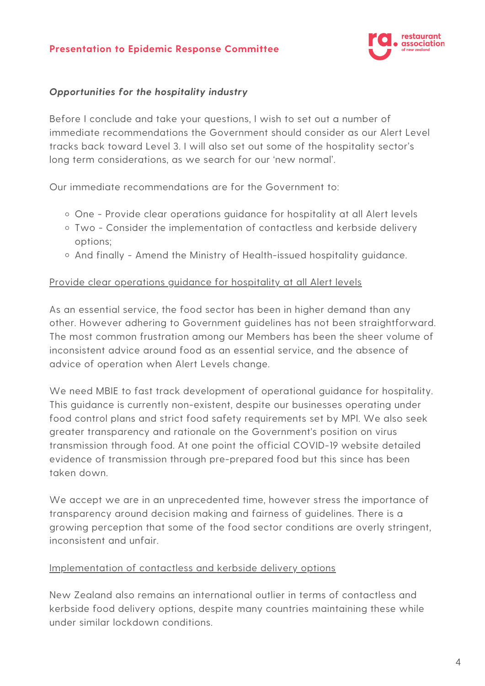

## **Opportunities for the hospitality industry**

Before I conclude and take your questions, I wish to set out a number of immediate recommendations the Government should consider as our Alert Level tracks back toward Level 3. I will also set out some of the hospitality sector's long term considerations, as we search for our 'new normal'.

Our immediate recommendations are for the Government to:

- One Provide clear operations guidance for hospitality at all Alert levels
- Two Consider the implementation of contactless and kerbside delivery options;
- And finally Amend the Ministry of Health-issued hospitality guidance.

#### Provide clear operations guidance for hospitality at all Alert levels

As an essential service, the food sector has been in higher demand than any other. However adhering to Government guidelines has not been straightforward. The most common frustration among our Members has been the sheer volume of inconsistent advice around food as an essential service, and the absence of advice of operation when Alert Levels change.

We need MBIE to fast track development of operational guidance for hospitality. This guidance is currently non-existent, despite our businesses operating under food control plans and strict food safety requirements set by MPI. We also seek greater transparency and rationale on the Government's position on virus transmission through food. At one point the official COVID-19 website detailed evidence of transmission through pre-prepared food but this since has been taken down.

We accept we are in an unprecedented time, however stress the importance of transparency around decision making and fairness of guidelines. There is a growing perception that some of the food sector conditions are overly stringent, inconsistent and unfair.

#### Implementation of contactless and kerbside delivery options

New Zealand also remains an international outlier in terms of contactless and kerbside food delivery options, despite many countries maintaining these while under similar lockdown conditions.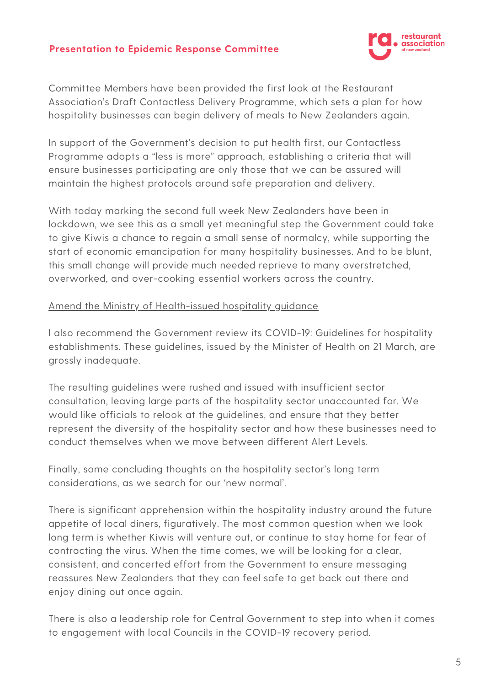

Committee Members have been provided the first look at the Restaurant Association's Draft Contactless Delivery Programme, which sets a plan for how hospitality businesses can begin delivery of meals to New Zealanders again.

In support of the Government's decision to put health first, our Contactless Programme adopts a "less is more" approach, establishing a criteria that will ensure businesses participating are only those that we can be assured will maintain the highest protocols around safe preparation and delivery.

With today marking the second full week New Zealanders have been in lockdown, we see this as a small yet meaningful step the Government could take to give Kiwis a chance to regain a small sense of normalcy, while supporting the start of economic emancipation for many hospitality businesses. And to be blunt, this small change will provide much needed reprieve to many overstretched, overworked, and over-cooking essential workers across the country.

#### Amend the Ministry of Health-issued hospitality guidance

I also recommend the Government review its COVID-19: Guidelines for hospitality establishments. These guidelines, issued by the Minister of Health on 21 March, are grossly inadequate.

The resulting guidelines were rushed and issued with insufficient sector consultation, leaving large parts of the hospitality sector unaccounted for. We would like officials to relook at the guidelines, and ensure that they better represent the diversity of the hospitality sector and how these businesses need to conduct themselves when we move between different Alert Levels.

Finally, some concluding thoughts on the hospitality sector's long term considerations, as we search for our 'new normal'.

There is significant apprehension within the hospitality industry around the future appetite of local diners, figuratively. The most common question when we look long term is whether Kiwis will venture out, or continue to stay home for fear of contracting the virus. When the time comes, we will be looking for a clear, consistent, and concerted effort from the Government to ensure messaging reassures New Zealanders that they can feel safe to get back out there and enjoy dining out once again.

There is also a leadership role for Central Government to step into when it comes to engagement with local Councils in the COVID-19 recovery period.